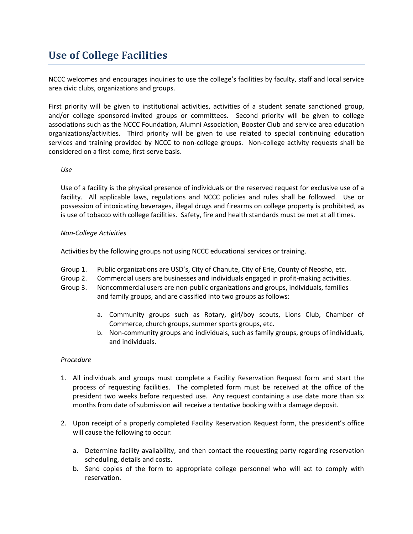# **Use of College Facilities**

NCCC welcomes and encourages inquiries to use the college's facilities by faculty, staff and local service area civic clubs, organizations and groups.

First priority will be given to institutional activities, activities of a student senate sanctioned group, and/or college sponsored-invited groups or committees. Second priority will be given to college associations such as the NCCC Foundation, Alumni Association, Booster Club and service area education organizations/activities. Third priority will be given to use related to special continuing education services and training provided by NCCC to non-college groups. Non-college activity requests shall be considered on a first-come, first-serve basis.

# *Use*

Use of a facility is the physical presence of individuals or the reserved request for exclusive use of a facility. All applicable laws, regulations and NCCC policies and rules shall be followed. Use or possession of intoxicating beverages, illegal drugs and firearms on college property is prohibited, as is use of tobacco with college facilities. Safety, fire and health standards must be met at all times.

# *Non-College Activities*

Activities by the following groups not using NCCC educational services or training.

- Group 1. Public organizations are USD's, City of Chanute, City of Erie, County of Neosho, etc.
- Group 2. Commercial users are businesses and individuals engaged in profit-making activities.
- Group 3. Noncommercial users are non-public organizations and groups, individuals, families and family groups, and are classified into two groups as follows:
	- a. Community groups such as Rotary, girl/boy scouts, Lions Club, Chamber of Commerce, church groups, summer sports groups, etc.
	- b. Non-community groups and individuals, such as family groups, groups of individuals, and individuals.

### *Procedure*

- 1. All individuals and groups must complete a Facility Reservation Request form and start the process of requesting facilities. The completed form must be received at the office of the president two weeks before requested use. Any request containing a use date more than six months from date of submission will receive a tentative booking with a damage deposit.
- 2. Upon receipt of a properly completed Facility Reservation Request form, the president's office will cause the following to occur:
	- a. Determine facility availability, and then contact the requesting party regarding reservation scheduling, details and costs.
	- b. Send copies of the form to appropriate college personnel who will act to comply with reservation.